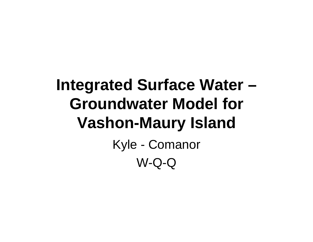### **Integrated Surface Water – Groundwater Model for Vashon-Maury Island** Kyle - Comanor W-Q-Q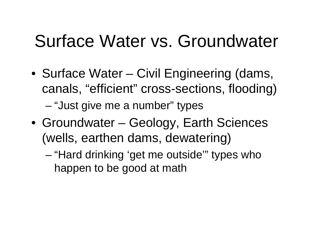## Surface Water vs. Groundwater

- Surface Water Civil Engineering (dams, canals, "efficient" cross-sections, flooding) –"Just give me a number" types
- Groundwater Geology, Earth Sciences (wells, earthen dams, dewatering)
	- – "Hard drinking 'get me outside'" types who happen to be good at math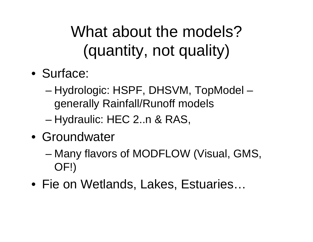What about the models? (quantity, not quality)

- Surface:
	- Hydrologic: HSPF, DHSVM, TopModel generally Rainfall/Runoff models
	- –Hydraulic: HEC 2..n & RAS,
- Groundwater
	- Many flavors of MODFLOW (Visual, GMS, OF!)
- Fie on Wetlands, Lakes, Estuaries…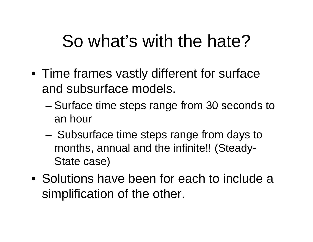## So what's with the hate?

- Time frames vastly different for surface and subsurface models.
	- – Surface time steps range from 30 seconds to an hour
	- Subsurface time steps range from days to months, annual and the infinite!! (Steady-State case)
- Solutions have been for each to include a simplification of the other.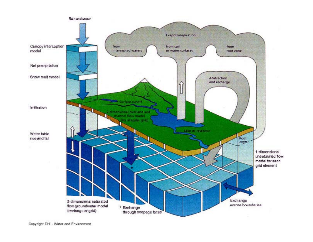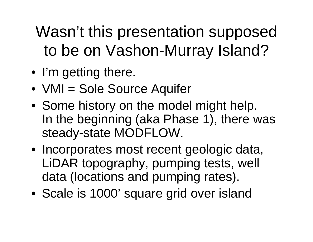Wasn't this presentation supposed to be on Vashon-Murray Island?

- I'm getting there.
- VMI = Sole Source Aquifer
- Some history on the model might help. In the beginning (aka Phase 1), there was steady-state MODFLOW.
- Incorporates most recent geologic data, LiDAR topography, pumping tests, well data (locations and pumping rates).
- Scale is 1000' square grid over island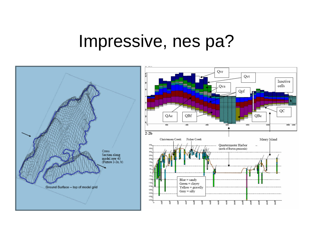#### Impressive, nes pa?

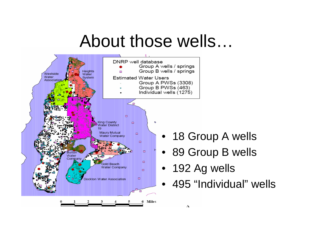### About those wells…



- 18 Group A wells
- 89 Group B wells
- 192 Ag wells
- 495 "Individual" wells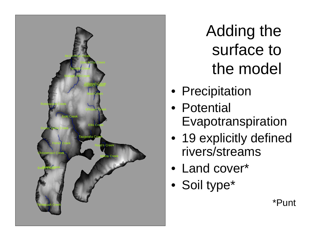

Adding the surface to the model

- Precipitation
- Potential Evapotranspiration
- 19 explicitly defined rivers/streams
- Land cover\*
- Soil type\*

\*Punt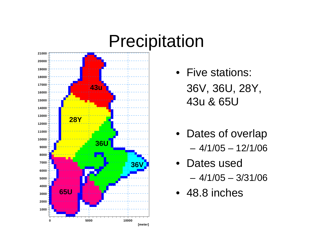

- Five stations: 36V, 36U, 28Y, 43u & 65U
- Dates of overlap – 4/1/05 – 12/1/06
- Dates used– 4/1/05 – 3/31/06
- 48.8 inches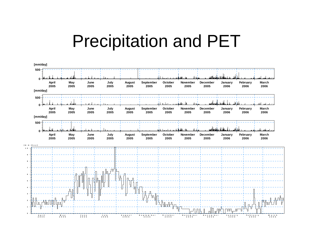#### Precipitation and PET

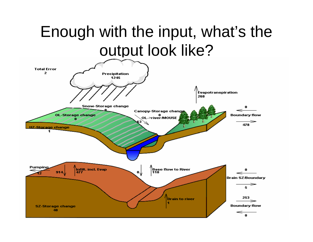#### Enough with the input, what's the output look like?

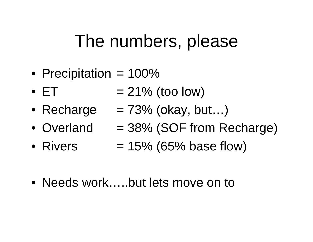### The numbers, please

- Precipitation = 100%
- $\bullet$   $ET$  $= 21\%$  (too low)
- Recharge  $= 73\%$  (okay, but...)
- Overland  $= 38\%$  (SOF from Recharge)
- Rivers  $= 15\%$  (65% base flow)
- Needs work…..but lets move on to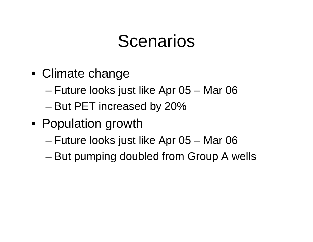### Scenarios

- Climate change
	- Future looks just like Apr 05 Mar 06
	- But PET increased by 20%
- Population growth
	- Future looks just like Apr 05 Mar 06
	- –But pumping doubled from Group A wells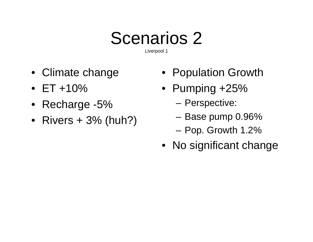# Scenarios 2

Liverpool 1

- Climate change
- ET +10%
- Recharge -5%
- Rivers + 3% (huh?)
- Population Growth
- Pumping +25%
	- Perspective:
	- Base pump 0.96%
	- Pop. Growth 1.2%
- No significant change